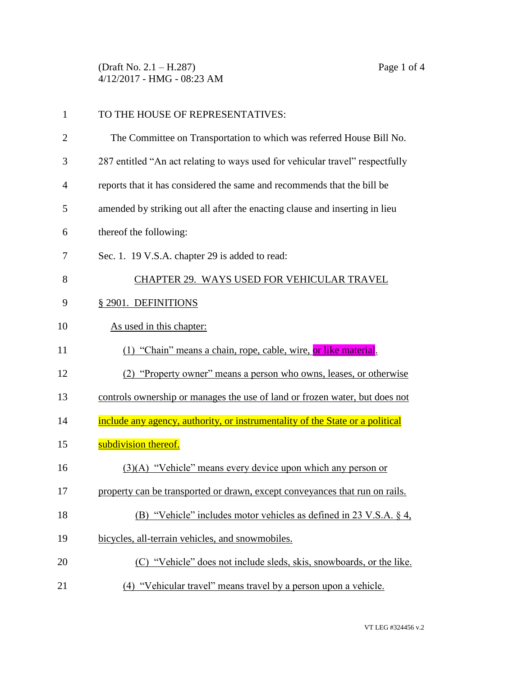(Draft No. 2.1 – H.287) Page 1 of 4 4/12/2017 - HMG - 08:23 AM

| $\mathbf{1}$   | TO THE HOUSE OF REPRESENTATIVES:                                              |  |
|----------------|-------------------------------------------------------------------------------|--|
| $\overline{2}$ | The Committee on Transportation to which was referred House Bill No.          |  |
| 3              | 287 entitled "An act relating to ways used for vehicular travel" respectfully |  |
| 4              | reports that it has considered the same and recommends that the bill be       |  |
| 5              | amended by striking out all after the enacting clause and inserting in lieu   |  |
| 6              | thereof the following:                                                        |  |
| 7              | Sec. 1. 19 V.S.A. chapter 29 is added to read:                                |  |
| 8              | CHAPTER 29. WAYS USED FOR VEHICULAR TRAVEL                                    |  |
| 9              | § 2901. DEFINITIONS                                                           |  |
| 10             | As used in this chapter:                                                      |  |
| 11             | (1) "Chain" means a chain, rope, cable, wire, or like material.               |  |
| 12             | (2) "Property owner" means a person who owns, leases, or otherwise            |  |
| 13             | controls ownership or manages the use of land or frozen water, but does not   |  |
| 14             | include any agency, authority, or instrumentality of the State or a political |  |
| 15             | subdivision thereof.                                                          |  |
| 16             | (3)(A) "Vehicle" means every device upon which any person or                  |  |
| 17             | property can be transported or drawn, except conveyances that run on rails.   |  |
| 18             | (B) "Vehicle" includes motor vehicles as defined in 23 V.S.A. § 4,            |  |
| 19             | bicycles, all-terrain vehicles, and snowmobiles.                              |  |
| 20             | (C) "Vehicle" does not include sleds, skis, snowboards, or the like.          |  |
| 21             | (4) "Vehicular travel" means travel by a person upon a vehicle.               |  |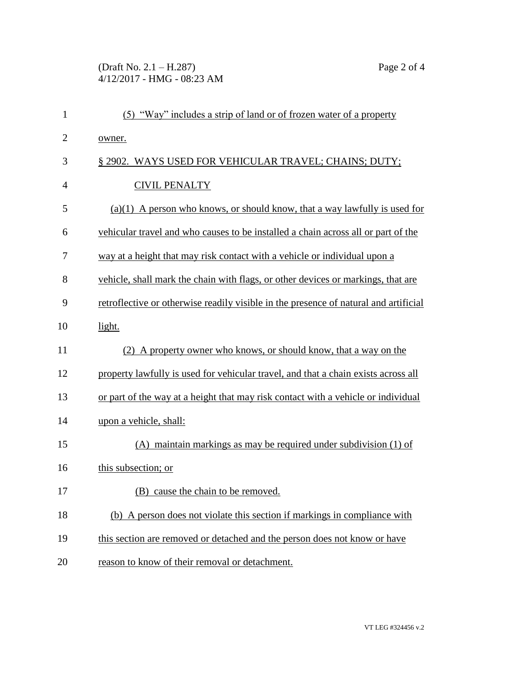(Draft No. 2.1 – H.287) Page 2 of 4 4/12/2017 - HMG - 08:23 AM

| $\mathbf{1}$   | (5) "Way" includes a strip of land or of frozen water of a property                  |  |
|----------------|--------------------------------------------------------------------------------------|--|
| $\overline{2}$ | owner.                                                                               |  |
| 3              | § 2902. WAYS USED FOR VEHICULAR TRAVEL; CHAINS; DUTY;                                |  |
| $\overline{4}$ | <b>CIVIL PENALTY</b>                                                                 |  |
| 5              | $(a)(1)$ A person who knows, or should know, that a way lawfully is used for         |  |
| 6              | vehicular travel and who causes to be installed a chain across all or part of the    |  |
| 7              | way at a height that may risk contact with a vehicle or individual upon a            |  |
| 8              | vehicle, shall mark the chain with flags, or other devices or markings, that are     |  |
| 9              | retroflective or otherwise readily visible in the presence of natural and artificial |  |
| 10             | light.                                                                               |  |
| 11             | (2) A property owner who knows, or should know, that a way on the                    |  |
| 12             | property lawfully is used for vehicular travel, and that a chain exists across all   |  |
| 13             | or part of the way at a height that may risk contact with a vehicle or individual    |  |
| 14             | upon a vehicle, shall:                                                               |  |
| 15             | $(A)$ maintain markings as may be required under subdivision $(1)$ of                |  |
| 16             | this subsection; or                                                                  |  |
| 17             | (B) cause the chain to be removed.                                                   |  |
| 18             | (b) A person does not violate this section if markings in compliance with            |  |
| 19             | this section are removed or detached and the person does not know or have            |  |
| 20             | reason to know of their removal or detachment.                                       |  |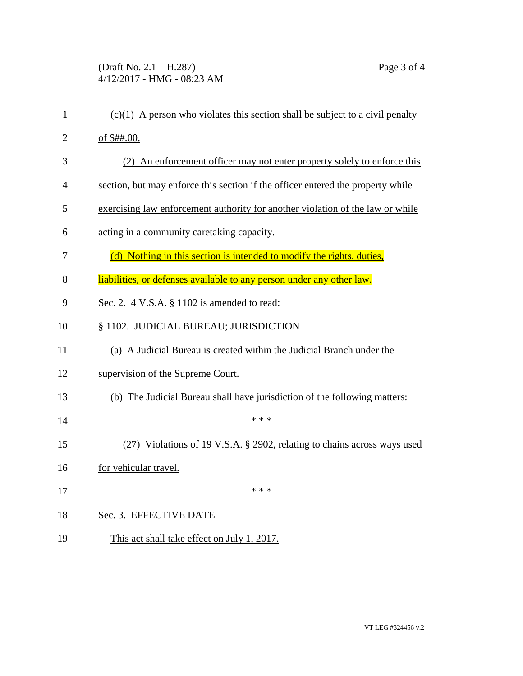(Draft No. 2.1 – H.287) Page 3 of 4 4/12/2017 - HMG - 08:23 AM

| $\mathbf{1}$   | $(c)(1)$ A person who violates this section shall be subject to a civil penalty |  |
|----------------|---------------------------------------------------------------------------------|--|
| $\overline{2}$ | of \$##.00.                                                                     |  |
| 3              | (2) An enforcement officer may not enter property solely to enforce this        |  |
| 4              | section, but may enforce this section if the officer entered the property while |  |
| 5              | exercising law enforcement authority for another violation of the law or while  |  |
| 6              | acting in a community caretaking capacity.                                      |  |
| 7              | (d) Nothing in this section is intended to modify the rights, duties,           |  |
| 8              | liabilities, or defenses available to any person under any other law.           |  |
| 9              | Sec. 2. $4$ V.S.A. $\S$ 1102 is amended to read:                                |  |
| 10             | § 1102. JUDICIAL BUREAU; JURISDICTION                                           |  |
| 11             | (a) A Judicial Bureau is created within the Judicial Branch under the           |  |
| 12             | supervision of the Supreme Court.                                               |  |
| 13             | (b) The Judicial Bureau shall have jurisdiction of the following matters:       |  |
| 14             | * * *                                                                           |  |
| 15             | (27) Violations of 19 V.S.A. § 2902, relating to chains across ways used        |  |
| 16             | for vehicular travel.                                                           |  |
| 17             | * * *                                                                           |  |
| 18             | Sec. 3. EFFECTIVE DATE                                                          |  |
| 19             | This act shall take effect on July 1, 2017.                                     |  |